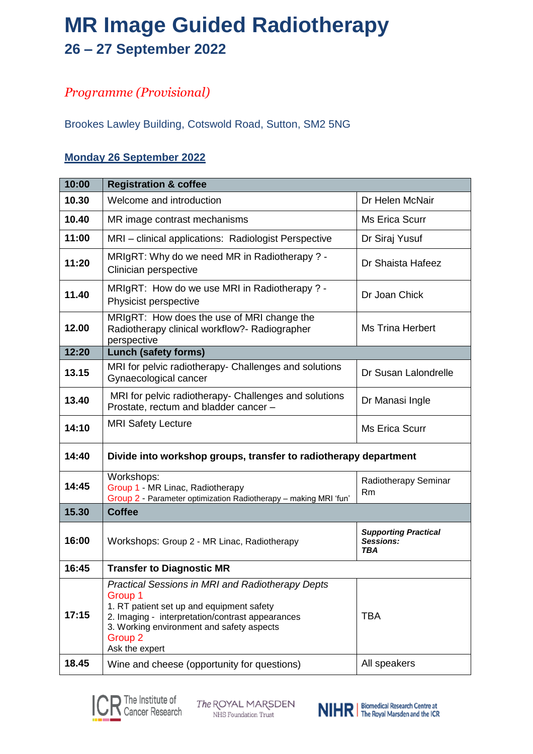# **MR Image Guided Radiotherapy 26 – 27 September 2022**

### *Programme (Provisional)*

Brookes Lawley Building, Cotswold Road, Sutton, SM2 5NG

#### **Monday 26 September 2022**

| 10:00 | <b>Registration &amp; coffee</b>                                                                                                                                                                                                                         |                                                 |  |
|-------|----------------------------------------------------------------------------------------------------------------------------------------------------------------------------------------------------------------------------------------------------------|-------------------------------------------------|--|
| 10.30 | Welcome and introduction                                                                                                                                                                                                                                 | Dr Helen McNair                                 |  |
| 10.40 | MR image contrast mechanisms                                                                                                                                                                                                                             | <b>Ms Erica Scurr</b>                           |  |
| 11:00 | MRI - clinical applications: Radiologist Perspective                                                                                                                                                                                                     | Dr Siraj Yusuf                                  |  |
| 11:20 | MRIgRT: Why do we need MR in Radiotherapy ? -<br>Clinician perspective                                                                                                                                                                                   | Dr Shaista Hafeez                               |  |
| 11.40 | MRIgRT: How do we use MRI in Radiotherapy ? -<br>Physicist perspective                                                                                                                                                                                   | Dr Joan Chick                                   |  |
| 12.00 | MRIgRT: How does the use of MRI change the<br>Radiotherapy clinical workflow?- Radiographer<br>perspective                                                                                                                                               | <b>Ms Trina Herbert</b>                         |  |
| 12:20 | <b>Lunch (safety forms)</b>                                                                                                                                                                                                                              |                                                 |  |
| 13.15 | MRI for pelvic radiotherapy- Challenges and solutions<br>Gynaecological cancer                                                                                                                                                                           | Dr Susan Lalondrelle                            |  |
| 13.40 | MRI for pelvic radiotherapy- Challenges and solutions<br>Prostate, rectum and bladder cancer -                                                                                                                                                           | Dr Manasi Ingle                                 |  |
| 14:10 | <b>MRI Safety Lecture</b>                                                                                                                                                                                                                                | <b>Ms Erica Scurr</b>                           |  |
| 14:40 | Divide into workshop groups, transfer to radiotherapy department                                                                                                                                                                                         |                                                 |  |
| 14:45 | Workshops:<br>Group 1 - MR Linac, Radiotherapy<br>Group 2 - Parameter optimization Radiotherapy - making MRI 'fun'                                                                                                                                       | Radiotherapy Seminar<br>Rm                      |  |
| 15.30 | <b>Coffee</b>                                                                                                                                                                                                                                            |                                                 |  |
| 16:00 | Workshops: Group 2 - MR Linac, Radiotherapy                                                                                                                                                                                                              | <b>Supporting Practical</b><br>Sessions:<br>TBA |  |
| 16:45 | <b>Transfer to Diagnostic MR</b>                                                                                                                                                                                                                         |                                                 |  |
| 17:15 | <b>Practical Sessions in MRI and Radiotherapy Depts</b><br>Group 1<br>1. RT patient set up and equipment safety<br>2. Imaging - interpretation/contrast appearances<br>3. Working environment and safety aspects<br>Group <sub>2</sub><br>Ask the expert | <b>TBA</b>                                      |  |
| 18.45 | Wine and cheese (opportunity for questions)                                                                                                                                                                                                              | All speakers                                    |  |